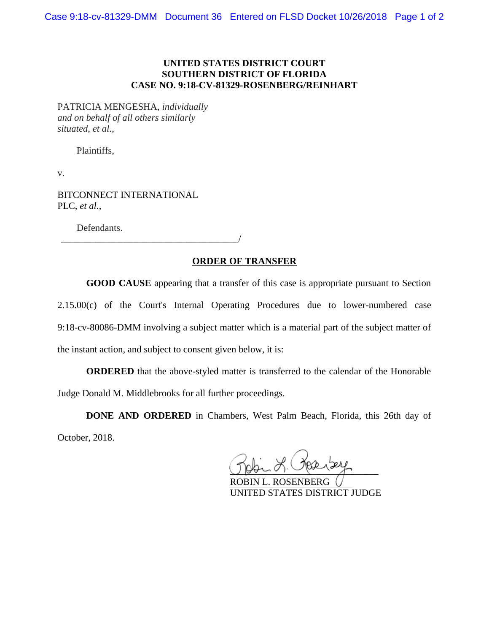## **UNITED STATES DISTRICT COURT SOUTHERN DISTRICT OF FLORIDA CASE NO. 9:18-CV-81329-ROSENBERG/REINHART**

PATRICIA MENGESHA, *individually and on behalf of all others similarly situated*, *et al.*,

Plaintiffs,

v.

BITCONNECT INTERNATIONAL PLC, *et al.*,

Defendants.

\_\_\_\_\_\_\_\_\_\_\_\_\_\_\_\_\_\_\_\_\_\_\_\_\_\_\_\_\_\_\_\_\_\_\_\_\_/

## **ORDER OF TRANSFER**

**GOOD CAUSE** appearing that a transfer of this case is appropriate pursuant to Section 2.15.00(c) of the Court's Internal Operating Procedures due to lower-numbered case 9:18-cv-80086-DMM involving a subject matter which is a material part of the subject matter of the instant action, and subject to consent given below, it is:

**ORDERED** that the above-styled matter is transferred to the calendar of the Honorable Judge Donald M. Middlebrooks for all further proceedings.

**DONE AND ORDERED** in Chambers, West Palm Beach, Florida, this 26th day of October, 2018.

 $U$  points:  $U$  and  $U$ 

ROBIN L. ROSENBERG UNITED STATES DISTRICT JUDGE